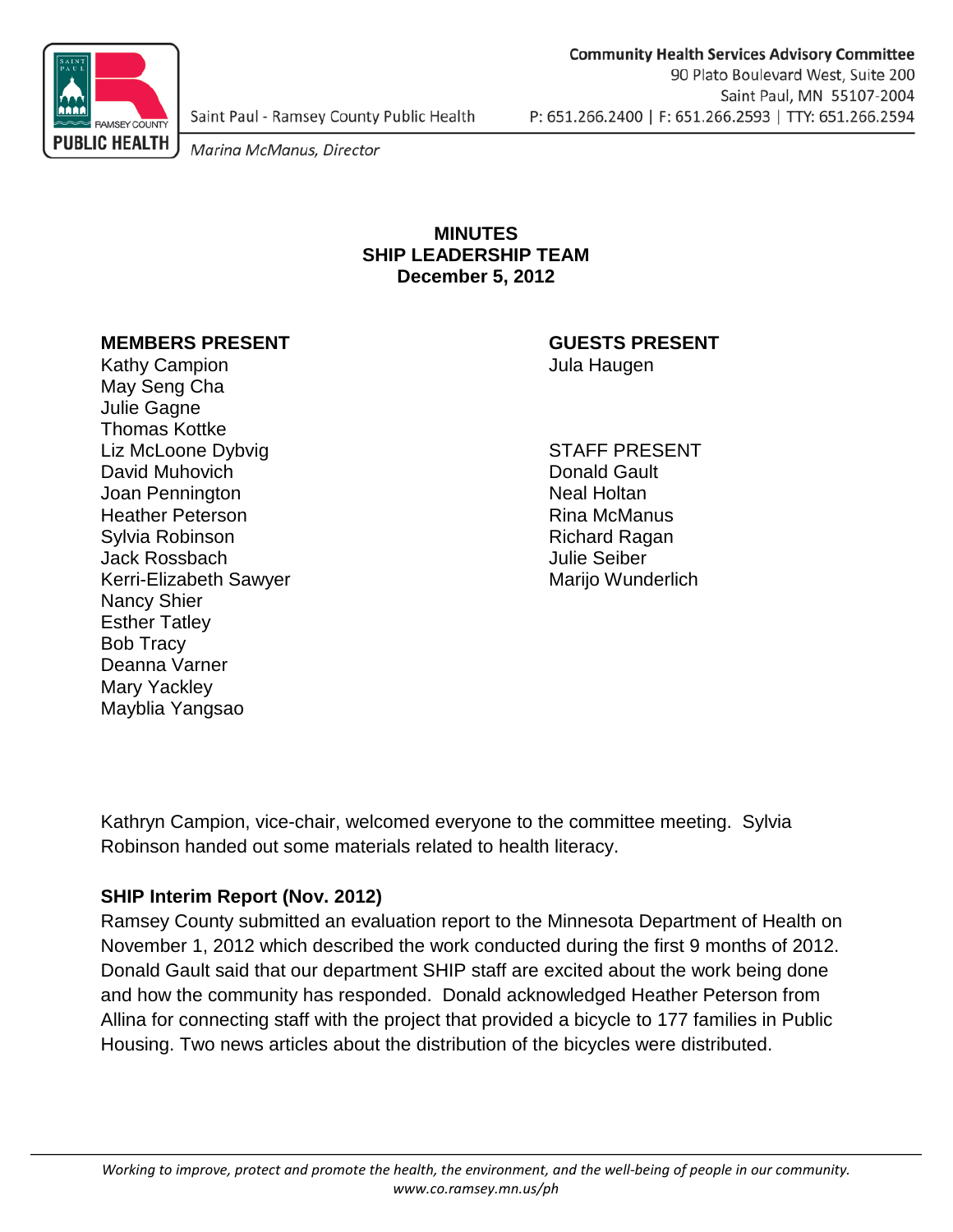

Saint Paul - Ramsey County Public Health

Marina McManus, Director

#### **MINUTES SHIP LEADERSHIP TEAM December 5, 2012**

#### **MEMBERS PRESENT GUESTS PRESENT**

Kathy Campion **Gampion** States of the Manual Haugen Jula Haugen May Seng Cha Julie Gagne Thomas Kottke Liz McLoone Dybvig STAFF PRESENT David Muhovich **Donald Gault** Joan Pennington Neal Holtan Heather Peterson **Rina McManus** Sylvia Robinson **Richard Ragan** Jack Rossbach Julie Seiber Kerri-Elizabeth Sawyer Marijo Wunderlich Nancy Shier Esther Tatley Bob Tracy Deanna Varner Mary Yackley Mayblia Yangsao

Kathryn Campion, vice-chair, welcomed everyone to the committee meeting. Sylvia Robinson handed out some materials related to health literacy.

### **SHIP Interim Report (Nov. 2012)**

Ramsey County submitted an evaluation report to the Minnesota Department of Health on November 1, 2012 which described the work conducted during the first 9 months of 2012. Donald Gault said that our department SHIP staff are excited about the work being done and how the community has responded. Donald acknowledged Heather Peterson from Allina for connecting staff with the project that provided a bicycle to 177 families in Public Housing. Two news articles about the distribution of the bicycles were distributed.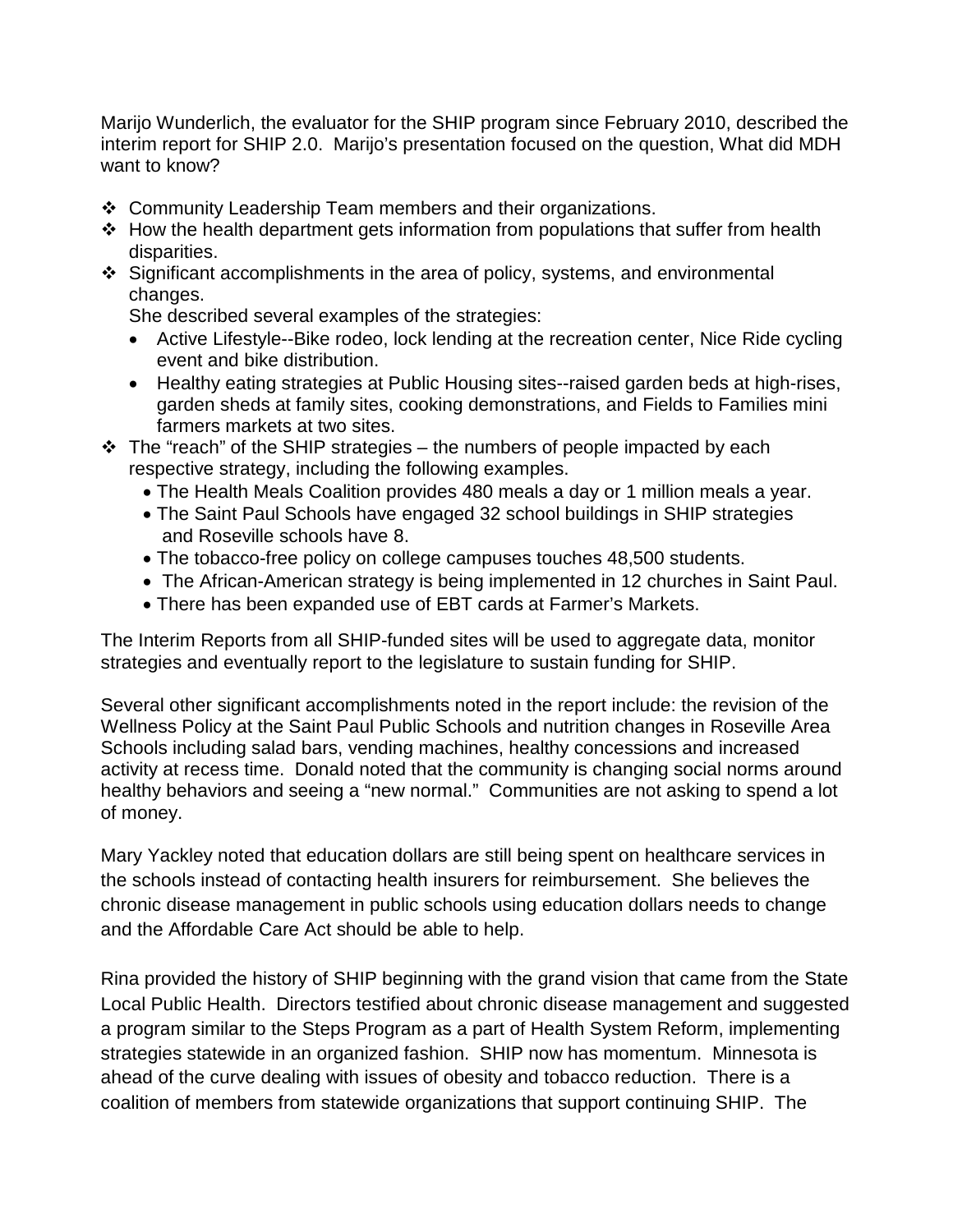Marijo Wunderlich, the evaluator for the SHIP program since February 2010, described the interim report for SHIP 2.0. Marijo's presentation focused on the question, What did MDH want to know?

- Community Leadership Team members and their organizations.
- How the health department gets information from populations that suffer from health disparities.
- Significant accomplishments in the area of policy, systems, and environmental changes.

She described several examples of the strategies:

- Active Lifestyle--Bike rodeo, lock lending at the recreation center, Nice Ride cycling event and bike distribution.
- Healthy eating strategies at Public Housing sites--raised garden beds at high-rises, garden sheds at family sites, cooking demonstrations, and Fields to Families mini farmers markets at two sites.
- $\div$  The "reach" of the SHIP strategies the numbers of people impacted by each respective strategy, including the following examples.
	- The Health Meals Coalition provides 480 meals a day or 1 million meals a year.
	- The Saint Paul Schools have engaged 32 school buildings in SHIP strategies and Roseville schools have 8.
	- The tobacco-free policy on college campuses touches 48,500 students.
	- The African-American strategy is being implemented in 12 churches in Saint Paul.
	- There has been expanded use of EBT cards at Farmer's Markets.

The Interim Reports from all SHIP-funded sites will be used to aggregate data, monitor strategies and eventually report to the legislature to sustain funding for SHIP.

Several other significant accomplishments noted in the report include: the revision of the Wellness Policy at the Saint Paul Public Schools and nutrition changes in Roseville Area Schools including salad bars, vending machines, healthy concessions and increased activity at recess time. Donald noted that the community is changing social norms around healthy behaviors and seeing a "new normal." Communities are not asking to spend a lot of money.

Mary Yackley noted that education dollars are still being spent on healthcare services in the schools instead of contacting health insurers for reimbursement. She believes the chronic disease management in public schools using education dollars needs to change and the Affordable Care Act should be able to help.

Rina provided the history of SHIP beginning with the grand vision that came from the State Local Public Health. Directors testified about chronic disease management and suggested a program similar to the Steps Program as a part of Health System Reform, implementing strategies statewide in an organized fashion. SHIP now has momentum. Minnesota is ahead of the curve dealing with issues of obesity and tobacco reduction. There is a coalition of members from statewide organizations that support continuing SHIP. The